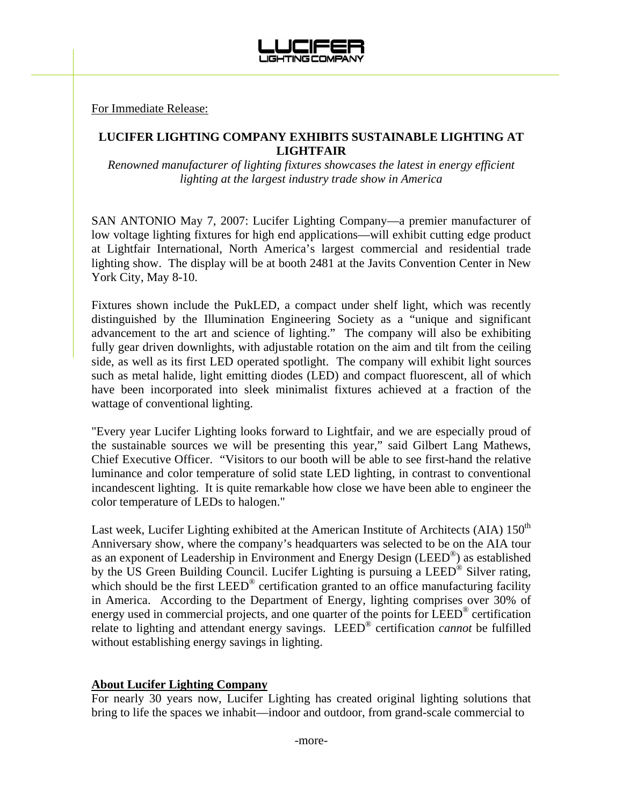

For Immediate Release:

## **LUCIFER LIGHTING COMPANY EXHIBITS SUSTAINABLE LIGHTING AT LIGHTFAIR**

*Renowned manufacturer of lighting fixtures showcases the latest in energy efficient lighting at the largest industry trade show in America* 

SAN ANTONIO May 7, 2007: Lucifer Lighting Company—a premier manufacturer of low voltage lighting fixtures for high end applications—will exhibit cutting edge product at Lightfair International, North America's largest commercial and residential trade lighting show. The display will be at booth 2481 at the Javits Convention Center in New York City, May 8-10.

Fixtures shown include the PukLED, a compact under shelf light, which was recently distinguished by the Illumination Engineering Society as a "unique and significant advancement to the art and science of lighting." The company will also be exhibiting fully gear driven downlights, with adjustable rotation on the aim and tilt from the ceiling side, as well as its first LED operated spotlight. The company will exhibit light sources such as metal halide, light emitting diodes (LED) and compact fluorescent, all of which have been incorporated into sleek minimalist fixtures achieved at a fraction of the wattage of conventional lighting.

"Every year Lucifer Lighting looks forward to Lightfair, and we are especially proud of the sustainable sources we will be presenting this year," said Gilbert Lang Mathews, Chief Executive Officer. "Visitors to our booth will be able to see first-hand the relative luminance and color temperature of solid state LED lighting, in contrast to conventional incandescent lighting. It is quite remarkable how close we have been able to engineer the color temperature of LEDs to halogen."

Last week, Lucifer Lighting exhibited at the American Institute of Architects (AIA)  $150<sup>th</sup>$ Anniversary show, where the company's headquarters was selected to be on the AIA tour as an exponent of Leadership in Environment and Energy Design (LEED®) as established by the US Green Building Council. Lucifer Lighting is pursuing a LEED® Silver rating, which should be the first LEED<sup>®</sup> certification granted to an office manufacturing facility in America. According to the Department of Energy, lighting comprises over 30% of energy used in commercial projects, and one quarter of the points for LEED® certification relate to lighting and attendant energy savings. LEED® certification *cannot* be fulfilled without establishing energy savings in lighting.

## **About Lucifer Lighting Company**

For nearly 30 years now, Lucifer Lighting has created original lighting solutions that bring to life the spaces we inhabit—indoor and outdoor, from grand-scale commercial to